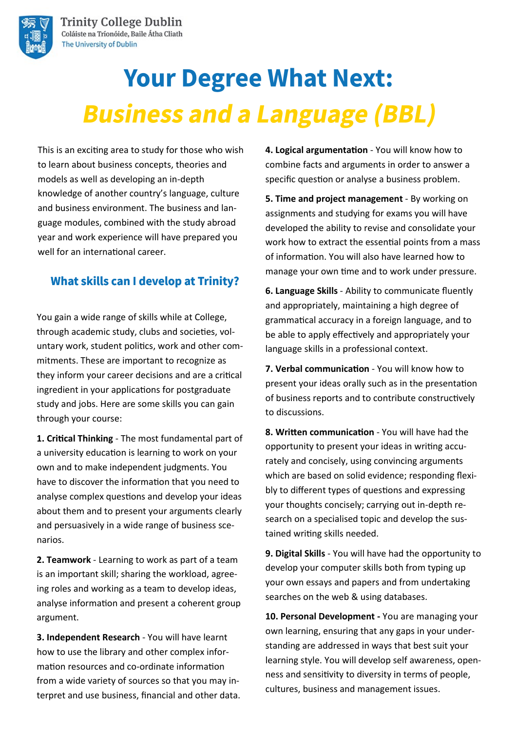

# **Your Degree What Next: Business and a Language (BBL)**

This is an exciting area to study for those who wish to learn about business concepts, theories and models as well as developing an in-depth knowledge of another country's language, culture and business environment. The business and language modules, combined with the study abroad year and work experience will have prepared you well for an international career.

## **What skills can I develop at Trinity?**

You gain a wide range of skills while at College, through academic study, clubs and societies, voluntary work, student politics, work and other commitments. These are important to recognize as they inform your career decisions and are a critical ingredient in your applications for postgraduate study and jobs. Here are some skills you can gain through your course:

**1. Critical Thinking** - The most fundamental part of a university education is learning to work on your own and to make independent judgments. You have to discover the information that you need to analyse complex questions and develop your ideas about them and to present your arguments clearly and persuasively in a wide range of business scenarios.

**2. Teamwork** - Learning to work as part of a team is an important skill; sharing the workload, agreeing roles and working as a team to develop ideas, analyse information and present a coherent group argument.

**3. Independent Research** - You will have learnt how to use the library and other complex information resources and co-ordinate information from a wide variety of sources so that you may interpret and use business, financial and other data. **4. Logical argumentation** - You will know how to combine facts and arguments in order to answer a specific question or analyse a business problem.

**5. Time and project management** - By working on assignments and studying for exams you will have developed the ability to revise and consolidate your work how to extract the essential points from a mass of information. You will also have learned how to manage your own time and to work under pressure.

**6. Language Skills** - Ability to communicate fluently and appropriately, maintaining a high degree of grammatical accuracy in a foreign language, and to be able to apply effectively and appropriately your language skills in a professional context.

**7. Verbal communication** - You will know how to present your ideas orally such as in the presentation of business reports and to contribute constructively to discussions.

**8. Written communication** - You will have had the opportunity to present your ideas in writing accurately and concisely, using convincing arguments which are based on solid evidence; responding flexibly to different types of questions and expressing your thoughts concisely; carrying out in-depth research on a specialised topic and develop the sustained writing skills needed.

**9. Digital Skills** - You will have had the opportunity to develop your computer skills both from typing up your own essays and papers and from undertaking searches on the web & using databases.

**10. Personal Development -** You are managing your own learning, ensuring that any gaps in your understanding are addressed in ways that best suit your learning style. You will develop self awareness, openness and sensitivity to diversity in terms of people, cultures, business and management issues.